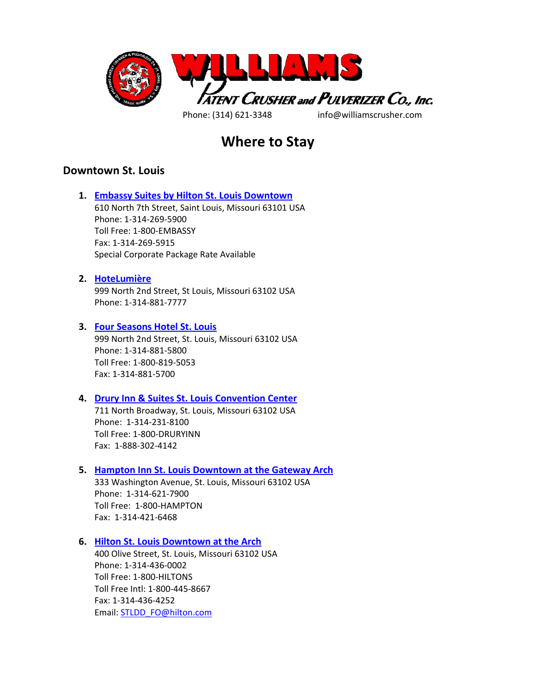

# **Where to Stay**

# **Downtown St. Louis**

**1. [Embassy Suites by Hilton St. Louis Downtown](http://embassysuites3.hilton.com/en/hotels/missouri/embassy-suites-by-hilton-st-louis-downtown-STLWAES/index.html)**  610 North 7th Street, Saint Louis, Missouri 63101 USA Phone: 1-314-269-5900 Toll Free: 1-800-EMBASSY Fax: 1-314-269-5915 Special Corporate Package Rate Available

### **2. [HoteLumière](http://lumiereplace.com/st-louis-hotels/general-information-hotelumiere/)**

999 North 2nd Street, St Louis, Missouri 63102 USA Phone: 1-314-881-7777

### **3. [Four Seasons Hotel St. Louis](http://www.fourseasons.com/stlouis/?src=lumiere_stlouishomepage_fourseasons)**

999 North 2nd Street, St. Louis, Missouri 63102 USA Phone: 1-314-881-5800 Toll Free: 1-800-819-5053 Fax: 1-314-881-5700

### **4. [Drury Inn & Suites St. Louis Convention Center](https://druryhotels.com/locations/st-louis-mo/drury-inn-and-suites-st-louis-convention-center)**

711 North Broadway, St. Louis, Missouri 63102 USA Phone: 1-314-231-8100 Toll Free: 1-800-DRURYINN Fax: 1-888-302-4142

# **5. [Hampton Inn St. Louis Downtown at the Gateway Arch](http://hamptoninn3.hilton.com/en/hotels/missouri/hampton-inn-st-louis-downtown-at-the-gateway-arch-STLDTHX/index.html)**

333 Washington Avenue, St. Louis, Missouri 63102 USA Phone: 1-314-621-7900 Toll Free: 1-800-HAMPTON Fax: 1-314-421-6468

## **6. [Hilton St. Louis Downtown at the Arch](http://www3.hilton.com/en/hotels/missouri/hilton-st-louis-downtown-at-the-arch-STLDDHF/index.html)**

400 Olive Street, St. Louis, Missouri 63102 USA Phone: 1-314-436-0002 Toll Free: 1-800-HILTONS Toll Free Intl: 1-800-445-8667 Fax: 1-314-436-4252 Email: STLDD\_FO@hilton.com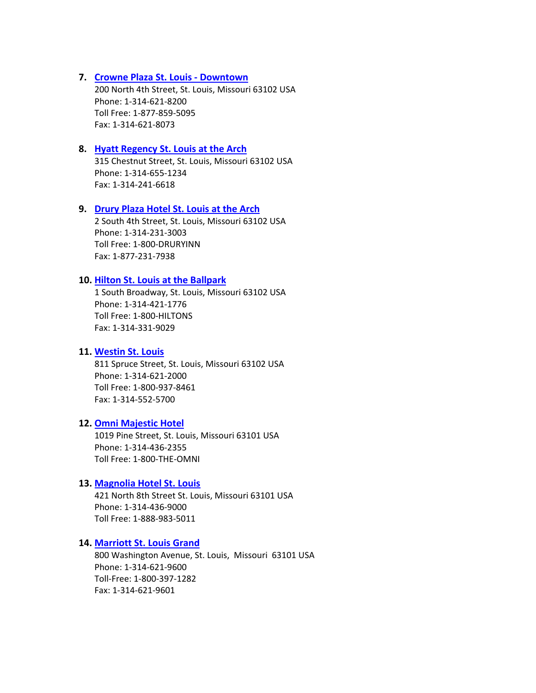#### **7. [Crowne Plaza St. Louis - Downtown](http://www.ihg.com/crowneplaza/hotels/us/en/st-louis/stlrf/hoteldetail)**

200 North 4th Street, St. Louis, Missouri 63102 USA Phone: 1-314-621-8200 Toll Free: 1-877-859-5095 Fax: 1-314-621-8073

## **8. [Hyatt Regency St. Louis at the Arch](http://stlouisarch.hyatt.com/en/hotel/home.html)**

315 Chestnut Street, St. Louis, Missouri 63102 USA Phone: 1-314-655-1234 Fax: 1-314-241-6618

#### **9. [Drury Plaza Hotel St. Louis at the Arch](https://druryhotels.com/locations/st-louis-mo/drury-plaza-hotel-st-louis-at-the-arch)**

2 South 4th Street, St. Louis, Missouri 63102 USA Phone: 1-314-231-3003 Toll Free: 1-800-DRURYINN Fax: 1-877-231-7938

# **10. [Hilton St. Louis at the Ballpark](http://www3.hilton.com/en/hotels/missouri/hilton-st-louis-at-the-ballpark-STLBVHF/index.html)**

1 South Broadway, St. Louis, Missouri 63102 USA Phone: 1-314-421-1776 Toll Free: 1-800-HILTONS Fax: 1-314-331-9029

### **11. [Westin St. Louis](http://www.starwoodhotels.com/westin/property/overview/index.html?propertyID=1248)**

811 Spruce Street, St. Louis, Missouri 63102 USA Phone: 1-314-621-2000 Toll Free: 1-800-937-8461 Fax: 1-314-552-5700

# **12. [Omni Majestic Hotel](http://www.omnihotels.com/hotels/st-louis-majestic?utm_source=tripadvisor&utm_medium=sponsored&utm_content=STLDTN&utm_campaign=ta-hotel-website)**

1019 Pine Street, St. Louis, Missouri 63101 USA Phone: 1-314-436-2355 Toll Free: 1-800-THE-OMNI

### **13. [Magnolia Hotel St. Louis](http://www.magnoliahotels.com/magnolia-stlouis/magnolia-hotel-magnolia-stlouis.php)**

421 North 8th Street St. Louis, Missouri 63101 USA Phone: 1-314-436-9000 Toll Free: 1-888-983-5011

#### **14. [Marriott St. Louis Grand](http://www.marriott.com/hotels/travel/stlmg-marriott-st-louis-grand/)**

800 Washington Avenue, St. Louis, Missouri 63101 USA Phone: 1-314-621-9600 Toll-Free: 1-800-397-1282 Fax: 1-314-621-9601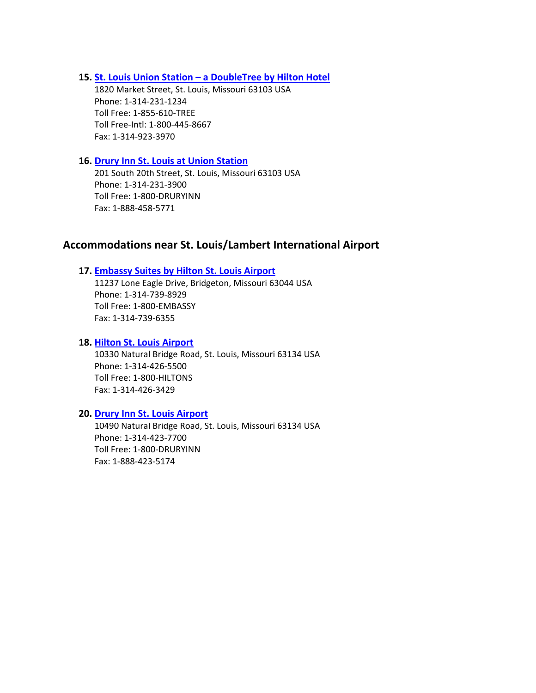**15. [St. Louis Union Station – a DoubleTree by Hilton Hotel](http://doubletree3.hilton.com/en/hotels/missouri/st-louis-union-station-a-doubletree-by-hilton-hotel-STLUSDT/index.html)**

1820 Market Street, St. Louis, Missouri 63103 USA Phone: 1-314-231-1234 Toll Free: 1-855-610-TREE Toll Free-Intl: 1-800-445-8667 Fax: 1-314-923-3970

# **16. [Drury Inn St. Louis at Union Station](https://www.druryhotels.com/locations/st-louis-mo/drury-inn-st-louis-at-union-station)**

201 South 20th Street, St. Louis, Missouri 63103 USA Phone: 1-314-231-3900 Toll Free: 1-800-DRURYINN Fax: 1-888-458-5771

# **Accommodations near St. Louis/Lambert International Airport**

# **17. [Embassy Suites by Hilton St. Louis Airport](http://embassysuites3.hilton.com/en/hotels/missouri/embassy-suites-by-hilton-st-louis-airport-STLESES/index.html)**

11237 Lone Eagle Drive, Bridgeton, Missouri 63044 USA Phone: 1-314-739-8929 Toll Free: 1-800-EMBASSY Fax: 1-314-739-6355

# **18. [Hilton St. Louis Airport](http://www3.hilton.com/en/hotels/missouri/hilton-st-louis-airport-STLHIHF/index.html)**

10330 Natural Bridge Road, St. Louis, Missouri 63134 USA Phone: 1-314-426-5500 Toll Free: 1-800-HILTONS Fax: 1-314-426-3429

# **20. [Drury Inn St. Louis Airport](https://www.druryhotels.com/locations/st-louis-mo/drury-inn-st-louis-airport)**

10490 Natural Bridge Road, St. Louis, Missouri 63134 USA Phone: 1-314-423-7700 Toll Free: 1-800-DRURYINN Fax: 1-888-423-5174